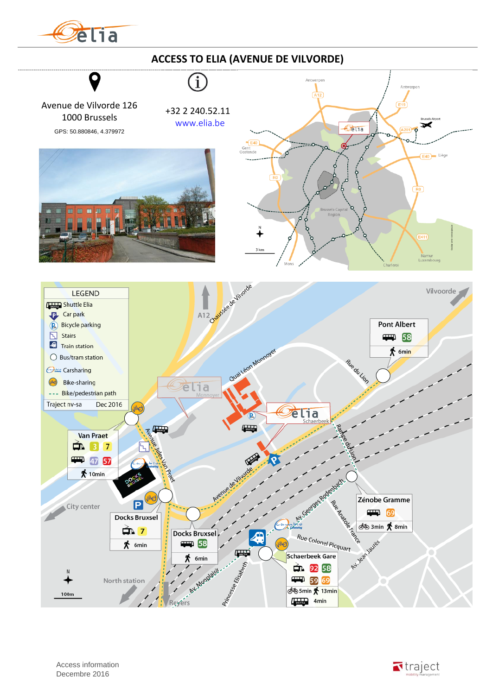

## **ACCESS TO ELIA (AVENUE DE VILVORDE)**

Avenue de Vilvorde 126 1000 Brussels GPS: 50.880846, 4.379972

+32 2 240.52.11 [www.elia.be](http://www.elia.be/fr)







 Access information Decembre 2016